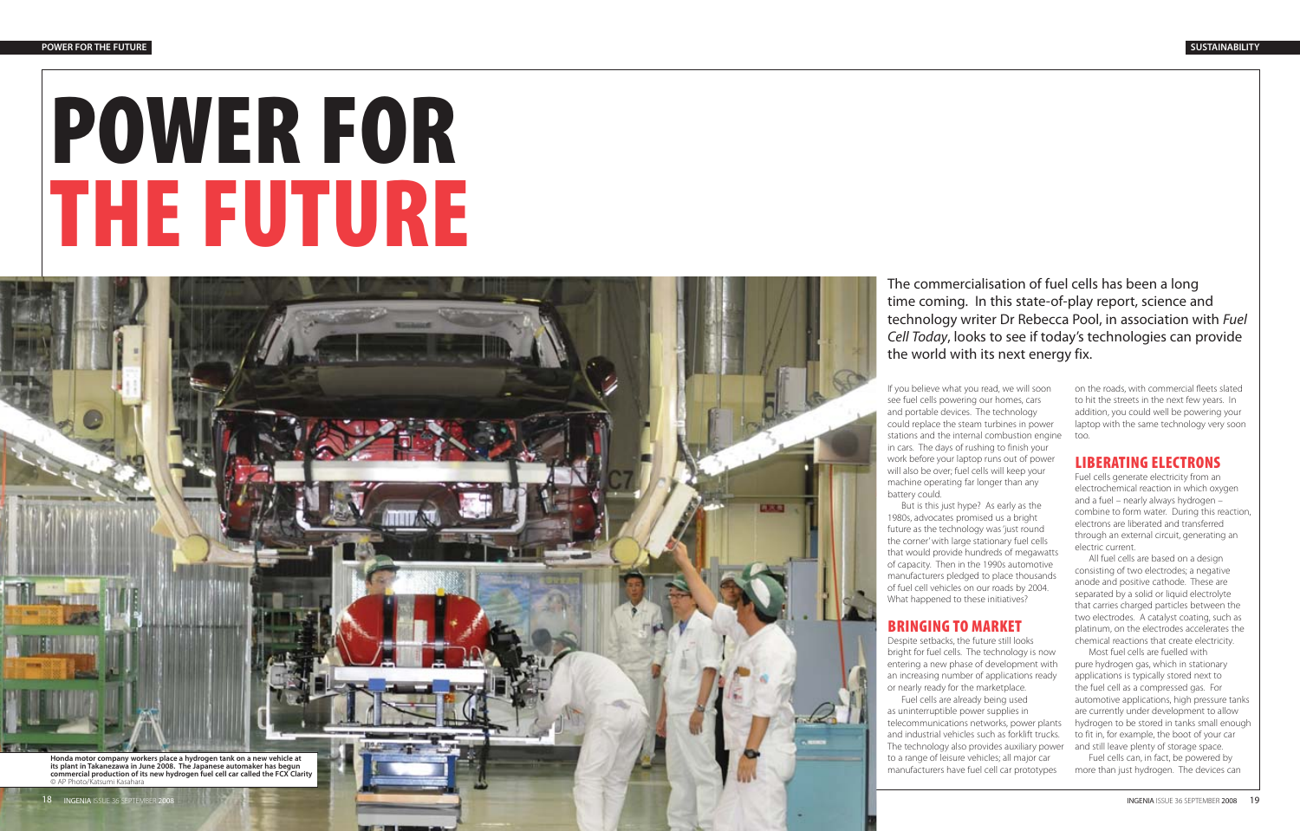# **POWER FOR THE FUTURE**

**Honda motor company workers place a hydrogen tank on a new vehicle at its plant in Takanezawa in June 2008. The Japanese automaker has begun commercial production of its new hydrogen fuel cell car called the FCX Clarity** © AP Photo/Katsumi Kasahara

The commercialisation of fuel cells has been a long time coming. In this state-of-play report, science and technology writer Dr Rebecca Pool, in association with Fuel Cell Today, looks to see if today's technologies can provide the world with its next energy fix.

If you believe what you read, we will soon see fuel cells powering our homes, cars and portable devices. The technology could replace the steam turbines in power stations and the internal combustion engine in cars. The days of rushing to finish your work before your laptop runs out of power will also be over; fuel cells will keep your machine operating far longer than any battery could.

But is this just hype? As early as the 1980s, advocates promised us a bright future as the technology was 'just round the corner' with large stationary fuel cells that would provide hundreds of megawatts of capacity. Then in the 1990s automotive manufacturers pledged to place thousands of fuel cell vehicles on our roads by 2004. What happened to these initiatives?

### **BRINGING TO MARKET**

n iv n

Despite setbacks, the future still looks bright for fuel cells. The technology is now entering a new phase of development with an increasing number of applications ready or nearly ready for the marketplace.

Fuel cells are already being used as uninterruptible power supplies in telecommunications networks, power plants and industrial vehicles such as forklift trucks. The technology also provides auxiliary power to a range of leisure vehicles; all major car manufacturers have fuel cell car prototypes

on the roads, with commercial fleets slated to hit the streets in the next few years. In addition, you could well be powering your laptop with the same technology very soon too.

# **LIBERATING ELECTRONS**

Fuel cells generate electricity from an electrochemical reaction in which oxygen and a fuel – nearly always hydrogen – combine to form water. During this reaction, electrons are liberated and transferred through an external circuit, generating an electric current.

All fuel cells are based on a design consisting of two electrodes; a negative anode and positive cathode. These are separated by a solid or liquid electrolyte that carries charged particles between the two electrodes. A catalyst coating, such as platinum, on the electrodes accelerates the chemical reactions that create electricity.

Most fuel cells are fuelled with pure hydrogen gas, which in stationary applications is typically stored next to the fuel cell as a compressed gas. For automotive applications, high pressure tanks are currently under development to allow hydrogen to be stored in tanks small enough to fit in, for example, the boot of your car and still leave plenty of storage space.

Fuel cells can, in fact, be powered by more than just hydrogen. The devices can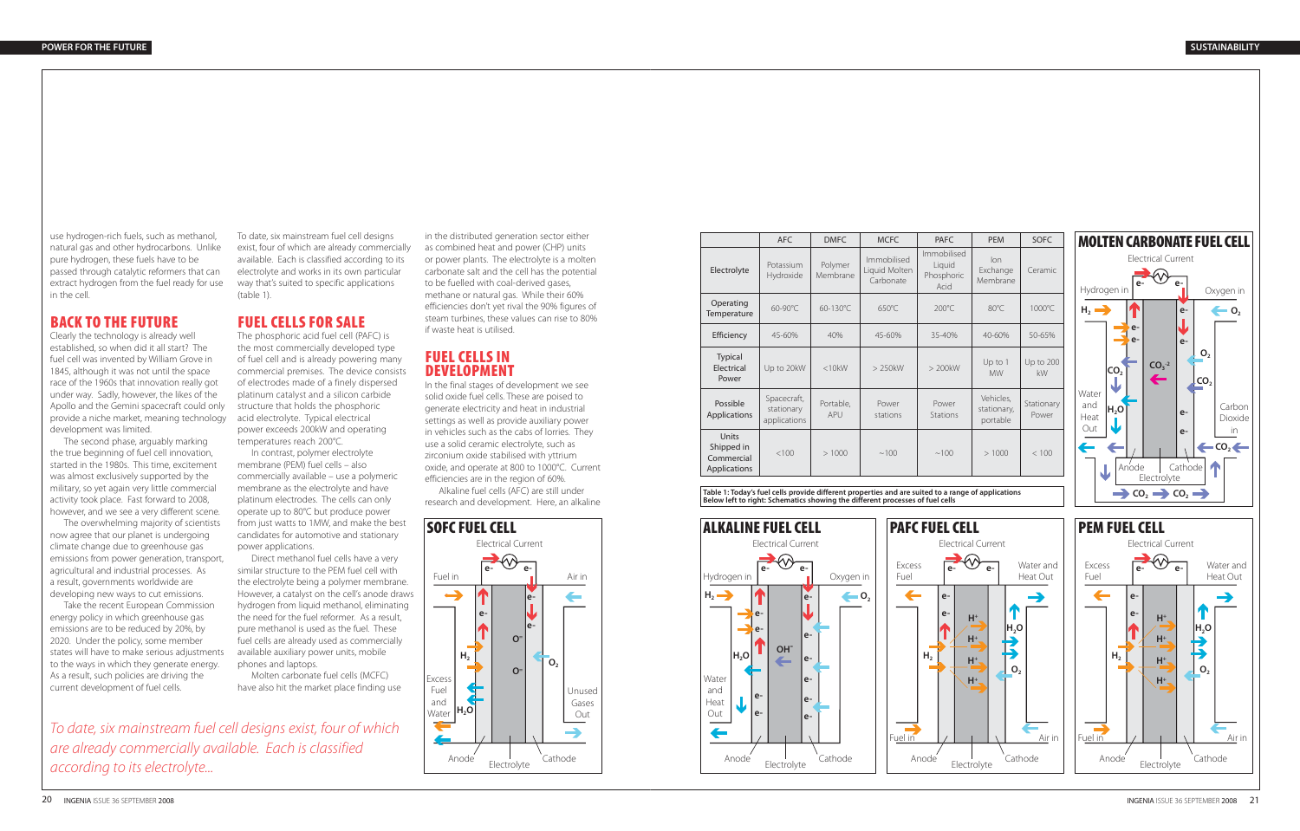use hydrogen-rich fuels, such as methanol, natural gas and other hydrocarbons. Unlike pure hydrogen, these fuels have to be passed through catalytic reformers that can extract hydrogen from the fuel ready for use in the cell.

# **BACK TO THE FUTURE**

Clearly the technology is already well established, so when did it all start? The fuel cell was invented by William Grove in 1845, although it was not until the space race of the 1960s that innovation really got under way. Sadly, however, the likes of the Apollo and the Gemini spacecraft could only provide a niche market, meaning technology development was limited.

The second phase, arguably marking the true beginning of fuel cell innovation, started in the 1980s. This time, excitement was almost exclusively supported by the military, so yet again very little commercial activity took place. Fast forward to 2008, however, and we see a very different scene.

The overwhelming majority of scientists now agree that our planet is undergoing climate change due to greenhouse gas emissions from power generation, transport, agricultural and industrial processes. As a result, governments worldwide are developing new ways to cut emissions.

Take the recent European Commission energy policy in which greenhouse gas emissions are to be reduced by 20%, by 2020. Under the policy, some member states will have to make serious adjustments to the ways in which they generate energy. As a result, such policies are driving the current development of fuel cells.

To date, six mainstream fuel cell designs exist, four of which are already commercially available. Each is classified according to its electrolyte and works in its own particular way that's suited to specific applications (table 1).

# **FUEL CELLS FOR SALE**

The phosphoric acid fuel cell (PAFC) is the most commercially developed type of fuel cell and is already powering many commercial premises. The device consists of electrodes made of a finely dispersed platinum catalyst and a silicon carbide structure that holds the phosphoric acid electrolyte. Typical electrical power exceeds 200kW and operating temperatures reach 200°C.

In contrast, polymer electrolyte membrane (PEM) fuel cells – also commercially available – use a polymeric membrane as the electrolyte and have platinum electrodes. The cells can only operate up to 80°C but produce power from just watts to 1MW, and make the best candidates for automotive and stationary power applications.

Direct methanol fuel cells have a very similar structure to the PEM fuel cell with the electrolyte being a polymer membrane. However, a catalyst on the cell's anode draws hydrogen from liquid methanol, eliminating the need for the fuel reformer. As a result, pure methanol is used as the fuel. These fuel cells are already used as commercially available auxiliary power units, mobile phones and laptops.

Molten carbonate fuel cells (MCFC) have also hit the market place finding use

in the distributed generation sector either as combined heat and power (CHP) units or power plants. The electrolyte is a molten carbonate salt and the cell has the potential to be fuelled with coal-derived gases, methane or natural gas. While their 60% efficiencies don't yet rival the 90% figures of steam turbines, these values can rise to 80% if waste heat is utilised.

# **FUEL CELLS IN DEVELOPMENT**

In the final stages of development we see solid oxide fuel cells. These are poised to generate electricity and heat in industrial settings as well as provide auxiliary power in vehicles such as the cabs of lorries. They use a solid ceramic electrolyte, such as zirconium oxide stabilised with yttrium oxide, and operate at 800 to 1000°C. Current efficiencies are in the region of 60%.

Alkaline fuel cells (AFC) are still under research and development. Here, an alkaline



To date, six mainstream fuel cell designs exist, four of which are already commercially available. Each is classified according to its electrolyte...

**Table 1: Today's fuel cells provide different properties and are suited to a range of applications Below left to right: Schematics showing the different processes of fuel cells**







|                                                   | AFC                                       | <b>DMFC</b>         | <b>MCFC</b>                               | <b>PAFC</b>                                 | <b>PEM</b>                           | <b>SOFC</b>         |
|---------------------------------------------------|-------------------------------------------|---------------------|-------------------------------------------|---------------------------------------------|--------------------------------------|---------------------|
| Electrolyte                                       | Potassium<br>Hydroxide                    | Polymer<br>Membrane | Immobilised<br>Liquid Molten<br>Carbonate | Immobilised<br>Liquid<br>Phosphoric<br>Acid | lon<br>Exchange<br>Membrane          | Ceramic             |
| Operating<br>Temperature                          | 60-90°C                                   | 60-130°C            | 650°C                                     | $200^{\circ}$ C                             | 80°C                                 | 1000°C              |
| Efficiency                                        | $45 - 60%$                                | 40%                 | 45-60%                                    | 35-40%                                      | 40-60%                               | 50-65%              |
| <b>Typical</b><br>Electrical<br>Power             | Up to 20kW                                | $<$ 10 $k$ W        | $>$ 250 $kW$                              | $> 200$ kW                                  | Up to 1<br><b>MW</b>                 | Up to 200<br>kW     |
| Possible<br>Applications                          | Spacecraft,<br>stationary<br>applications | Portable,<br>APU    | Power<br>stations                         | Power<br><b>Stations</b>                    | Vehicles.<br>stationary,<br>portable | Stationary<br>Power |
| Units<br>Shipped in<br>Commercial<br>Applications | <100                                      | >1000               | ~100                                      | ~100                                        | >1000                                | < 100               |